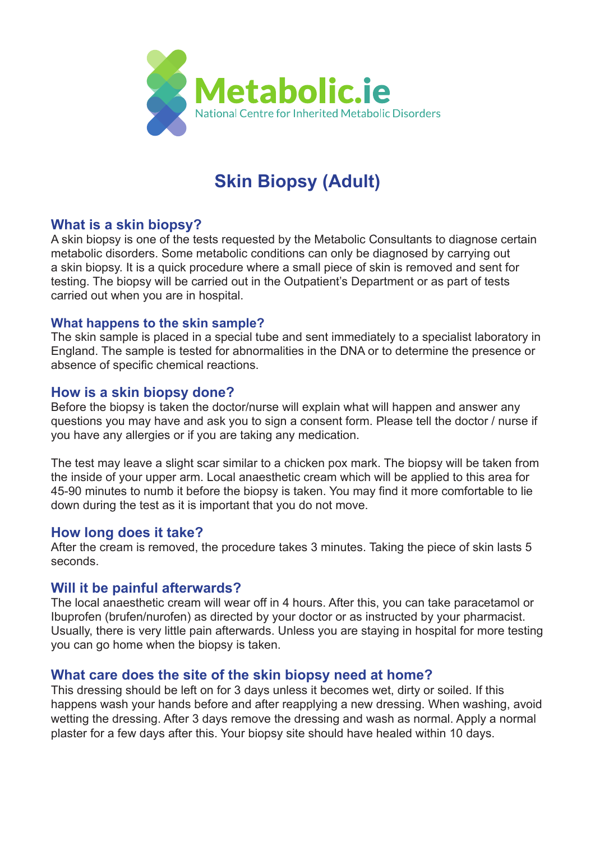

# **Skin Biopsy (Adult)**

#### **What is a skin biopsy?**

A skin biopsy is one of the tests requested by the Metabolic Consultants to diagnose certain metabolic disorders. Some metabolic conditions can only be diagnosed by carrying out a skin biopsy. It is a quick procedure where a small piece of skin is removed and sent for testing. The biopsy will be carried out in the Outpatient's Department or as part of tests carried out when you are in hospital.

#### **What happens to the skin sample?**

The skin sample is placed in a special tube and sent immediately to a specialist laboratory in England. The sample is tested for abnormalities in the DNA or to determine the presence or absence of specific chemical reactions.

#### **How is a skin biopsy done?**

Before the biopsy is taken the doctor/nurse will explain what will happen and answer any questions you may have and ask you to sign a consent form. Please tell the doctor / nurse if you have any allergies or if you are taking any medication.

The test may leave a slight scar similar to a chicken pox mark. The biopsy will be taken from the inside of your upper arm. Local anaesthetic cream which will be applied to this area for 45-90 minutes to numb it before the biopsy is taken. You may find it more comfortable to lie down during the test as it is important that you do not move.

#### **How long does it take?**

After the cream is removed, the procedure takes 3 minutes. Taking the piece of skin lasts 5 seconds.

## **Will it be painful afterwards?**

The local anaesthetic cream will wear off in 4 hours. After this, you can take paracetamol or Ibuprofen (brufen/nurofen) as directed by your doctor or as instructed by your pharmacist. Usually, there is very little pain afterwards. Unless you are staying in hospital for more testing you can go home when the biopsy is taken.

## **What care does the site of the skin biopsy need at home?**

This dressing should be left on for 3 days unless it becomes wet, dirty or soiled. If this happens wash your hands before and after reapplying a new dressing. When washing, avoid wetting the dressing. After 3 days remove the dressing and wash as normal. Apply a normal plaster for a few days after this. Your biopsy site should have healed within 10 days.